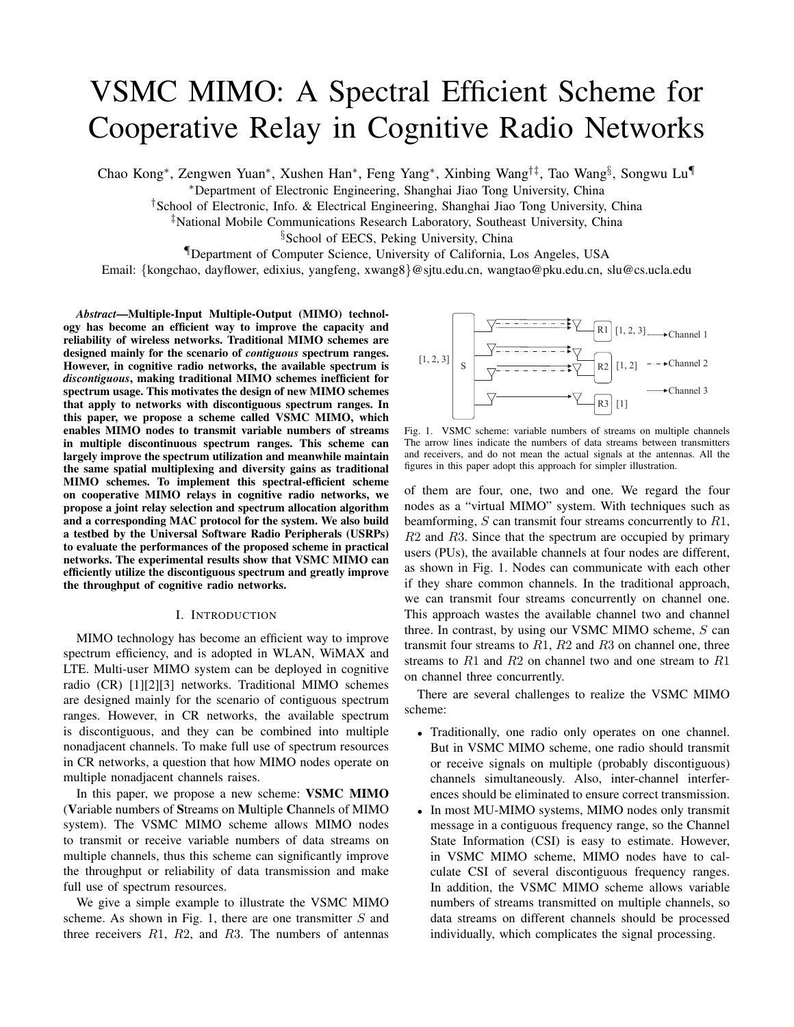# VSMC MIMO: A Spectral Efficient Scheme for Cooperative Relay in Cognitive Radio Networks

Chao Kong*∗* , Zengwen Yuan*∗* , Xushen Han*∗* , Feng Yang*∗* , Xinbing Wang*†‡*, Tao Wang*§* , Songwu Lu*¶*

*∗*Department of Electronic Engineering, Shanghai Jiao Tong University, China

*†*School of Electronic, Info. & Electrical Engineering, Shanghai Jiao Tong University, China

*‡*National Mobile Communications Research Laboratory, Southeast University, China

*§*School of EECS, Peking University, China

*¶*Department of Computer Science, University of California, Los Angeles, USA

Email: *{*kongchao, dayflower, edixius, yangfeng, xwang8*}*@sjtu.edu.cn, wangtao@pku.edu.cn, slu@cs.ucla.edu

*Abstract*—Multiple-Input Multiple-Output (MIMO) technology has become an efficient way to improve the capacity and reliability of wireless networks. Traditional MIMO schemes are designed mainly for the scenario of *contiguous* spectrum ranges. However, in cognitive radio networks, the available spectrum is *discontiguous*, making traditional MIMO schemes inefficient for spectrum usage. This motivates the design of new MIMO schemes that apply to networks with discontiguous spectrum ranges. In this paper, we propose a scheme called VSMC MIMO, which enables MIMO nodes to transmit variable numbers of streams in multiple discontinuous spectrum ranges. This scheme can largely improve the spectrum utilization and meanwhile maintain the same spatial multiplexing and diversity gains as traditional MIMO schemes. To implement this spectral-efficient scheme on cooperative MIMO relays in cognitive radio networks, we propose a joint relay selection and spectrum allocation algorithm and a corresponding MAC protocol for the system. We also build a testbed by the Universal Software Radio Peripherals (USRPs) to evaluate the performances of the proposed scheme in practical networks. The experimental results show that VSMC MIMO can efficiently utilize the discontiguous spectrum and greatly improve the throughput of cognitive radio networks.

#### I. INTRODUCTION

MIMO technology has become an efficient way to improve spectrum efficiency, and is adopted in WLAN, WiMAX and LTE. Multi-user MIMO system can be deployed in cognitive radio (CR) [1][2][3] networks. Traditional MIMO schemes are designed mainly for the scenario of contiguous spectrum ranges. However, in CR networks, the available spectrum is discontiguous, and they can be combined into multiple nonadjacent channels. To make full use of spectrum resources in CR networks, a question that how MIMO nodes operate on multiple nonadjacent channels raises.

In this paper, we propose a new scheme: VSMC MIMO (Variable numbers of Streams on Multiple Channels of MIMO system). The VSMC MIMO scheme allows MIMO nodes to transmit or receive variable numbers of data streams on multiple channels, thus this scheme can significantly improve the throughput or reliability of data transmission and make full use of spectrum resources.

We give a simple example to illustrate the VSMC MIMO scheme. As shown in Fig. 1, there are one transmitter *S* and three receivers *R*1, *R*2, and *R*3. The numbers of antennas



Fig. 1. VSMC scheme: variable numbers of streams on multiple channels The arrow lines indicate the numbers of data streams between transmitters and receivers, and do not mean the actual signals at the antennas. All the figures in this paper adopt this approach for simpler illustration.

of them are four, one, two and one. We regard the four nodes as a "virtual MIMO" system. With techniques such as beamforming, *S* can transmit four streams concurrently to *R*1, *R*2 and *R*3. Since that the spectrum are occupied by primary users (PUs), the available channels at four nodes are different, as shown in Fig. 1. Nodes can communicate with each other if they share common channels. In the traditional approach, we can transmit four streams concurrently on channel one. This approach wastes the available channel two and channel three. In contrast, by using our VSMC MIMO scheme, *S* can transmit four streams to *R*1, *R*2 and *R*3 on channel one, three streams to *R*1 and *R*2 on channel two and one stream to *R*1 on channel three concurrently.

There are several challenges to realize the VSMC MIMO scheme:

- *•* Traditionally, one radio only operates on one channel. But in VSMC MIMO scheme, one radio should transmit or receive signals on multiple (probably discontiguous) channels simultaneously. Also, inter-channel interferences should be eliminated to ensure correct transmission.
- In most MU-MIMO systems, MIMO nodes only transmit message in a contiguous frequency range, so the Channel State Information (CSI) is easy to estimate. However, in VSMC MIMO scheme, MIMO nodes have to calculate CSI of several discontiguous frequency ranges. In addition, the VSMC MIMO scheme allows variable numbers of streams transmitted on multiple channels, so data streams on different channels should be processed individually, which complicates the signal processing.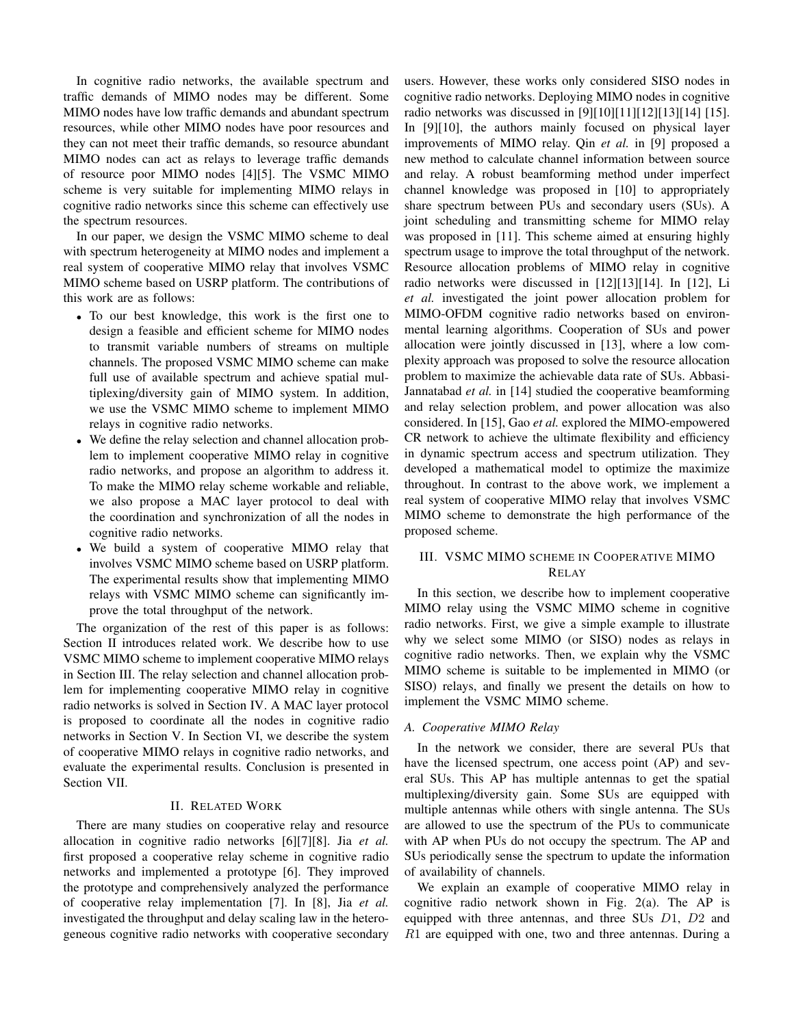In cognitive radio networks, the available spectrum and traffic demands of MIMO nodes may be different. Some MIMO nodes have low traffic demands and abundant spectrum resources, while other MIMO nodes have poor resources and they can not meet their traffic demands, so resource abundant MIMO nodes can act as relays to leverage traffic demands of resource poor MIMO nodes [4][5]. The VSMC MIMO scheme is very suitable for implementing MIMO relays in cognitive radio networks since this scheme can effectively use the spectrum resources.

In our paper, we design the VSMC MIMO scheme to deal with spectrum heterogeneity at MIMO nodes and implement a real system of cooperative MIMO relay that involves VSMC MIMO scheme based on USRP platform. The contributions of this work are as follows:

- *•* To our best knowledge, this work is the first one to design a feasible and efficient scheme for MIMO nodes to transmit variable numbers of streams on multiple channels. The proposed VSMC MIMO scheme can make full use of available spectrum and achieve spatial multiplexing/diversity gain of MIMO system. In addition, we use the VSMC MIMO scheme to implement MIMO relays in cognitive radio networks.
- *•* We define the relay selection and channel allocation problem to implement cooperative MIMO relay in cognitive radio networks, and propose an algorithm to address it. To make the MIMO relay scheme workable and reliable, we also propose a MAC layer protocol to deal with the coordination and synchronization of all the nodes in cognitive radio networks.
- *•* We build a system of cooperative MIMO relay that involves VSMC MIMO scheme based on USRP platform. The experimental results show that implementing MIMO relays with VSMC MIMO scheme can significantly improve the total throughput of the network.

The organization of the rest of this paper is as follows: Section II introduces related work. We describe how to use VSMC MIMO scheme to implement cooperative MIMO relays in Section III. The relay selection and channel allocation problem for implementing cooperative MIMO relay in cognitive radio networks is solved in Section IV. A MAC layer protocol is proposed to coordinate all the nodes in cognitive radio networks in Section V. In Section VI, we describe the system of cooperative MIMO relays in cognitive radio networks, and evaluate the experimental results. Conclusion is presented in Section VII.

# II. RELATED WORK

There are many studies on cooperative relay and resource allocation in cognitive radio networks [6][7][8]. Jia *et al.* first proposed a cooperative relay scheme in cognitive radio networks and implemented a prototype [6]. They improved the prototype and comprehensively analyzed the performance of cooperative relay implementation [7]. In [8], Jia *et al.* investigated the throughput and delay scaling law in the heterogeneous cognitive radio networks with cooperative secondary users. However, these works only considered SISO nodes in cognitive radio networks. Deploying MIMO nodes in cognitive radio networks was discussed in [9][10][11][12][13][14] [15]. In [9][10], the authors mainly focused on physical layer improvements of MIMO relay. Qin *et al.* in [9] proposed a new method to calculate channel information between source and relay. A robust beamforming method under imperfect channel knowledge was proposed in [10] to appropriately share spectrum between PUs and secondary users (SUs). A joint scheduling and transmitting scheme for MIMO relay was proposed in [11]. This scheme aimed at ensuring highly spectrum usage to improve the total throughput of the network. Resource allocation problems of MIMO relay in cognitive radio networks were discussed in [12][13][14]. In [12], Li *et al.* investigated the joint power allocation problem for MIMO-OFDM cognitive radio networks based on environmental learning algorithms. Cooperation of SUs and power allocation were jointly discussed in [13], where a low complexity approach was proposed to solve the resource allocation problem to maximize the achievable data rate of SUs. Abbasi-Jannatabad *et al.* in [14] studied the cooperative beamforming and relay selection problem, and power allocation was also considered. In [15], Gao *et al.* explored the MIMO-empowered CR network to achieve the ultimate flexibility and efficiency in dynamic spectrum access and spectrum utilization. They developed a mathematical model to optimize the maximize throughout. In contrast to the above work, we implement a real system of cooperative MIMO relay that involves VSMC MIMO scheme to demonstrate the high performance of the proposed scheme.

# III. VSMC MIMO SCHEME IN COOPERATIVE MIMO RELAY

In this section, we describe how to implement cooperative MIMO relay using the VSMC MIMO scheme in cognitive radio networks. First, we give a simple example to illustrate why we select some MIMO (or SISO) nodes as relays in cognitive radio networks. Then, we explain why the VSMC MIMO scheme is suitable to be implemented in MIMO (or SISO) relays, and finally we present the details on how to implement the VSMC MIMO scheme.

# *A. Cooperative MIMO Relay*

In the network we consider, there are several PUs that have the licensed spectrum, one access point (AP) and several SUs. This AP has multiple antennas to get the spatial multiplexing/diversity gain. Some SUs are equipped with multiple antennas while others with single antenna. The SUs are allowed to use the spectrum of the PUs to communicate with AP when PUs do not occupy the spectrum. The AP and SUs periodically sense the spectrum to update the information of availability of channels.

We explain an example of cooperative MIMO relay in cognitive radio network shown in Fig. 2(a). The AP is equipped with three antennas, and three SUs *D*1, *D*2 and *R*1 are equipped with one, two and three antennas. During a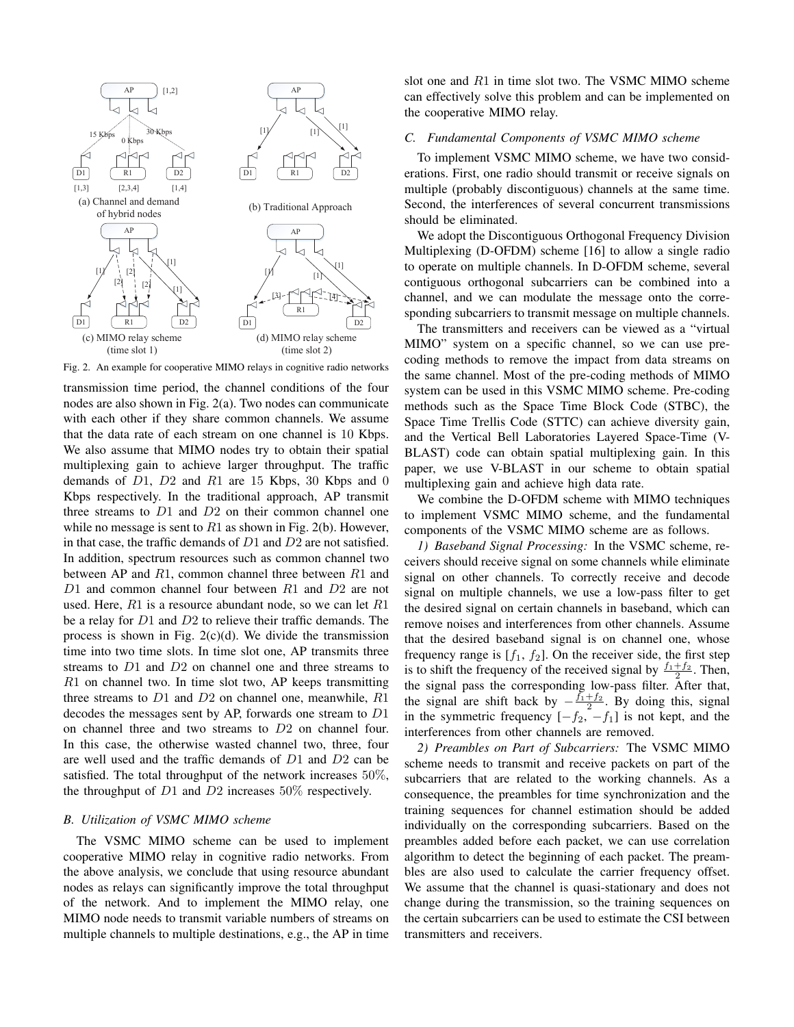

Fig. 2. An example for cooperative MIMO relays in cognitive radio networks

transmission time period, the channel conditions of the four nodes are also shown in Fig. 2(a). Two nodes can communicate with each other if they share common channels. We assume that the data rate of each stream on one channel is 10 Kbps. We also assume that MIMO nodes try to obtain their spatial multiplexing gain to achieve larger throughput. The traffic demands of *D*1, *D*2 and *R*1 are 15 Kbps, 30 Kbps and 0 Kbps respectively. In the traditional approach, AP transmit three streams to *D*1 and *D*2 on their common channel one while no message is sent to *R*1 as shown in Fig. 2(b). However, in that case, the traffic demands of *D*1 and *D*2 are not satisfied. In addition, spectrum resources such as common channel two between AP and *R*1, common channel three between *R*1 and *D*1 and common channel four between *R*1 and *D*2 are not used. Here, *R*1 is a resource abundant node, so we can let *R*1 be a relay for *D*1 and *D*2 to relieve their traffic demands. The process is shown in Fig.  $2(c)(d)$ . We divide the transmission time into two time slots. In time slot one, AP transmits three streams to *D*1 and *D*2 on channel one and three streams to *R*1 on channel two. In time slot two, AP keeps transmitting three streams to *D*1 and *D*2 on channel one, meanwhile, *R*1 decodes the messages sent by AP, forwards one stream to *D*1 on channel three and two streams to *D*2 on channel four. In this case, the otherwise wasted channel two, three, four are well used and the traffic demands of *D*1 and *D*2 can be satisfied. The total throughput of the network increases  $50\%$ , the throughput of *D*1 and *D*2 increases 50% respectively.

#### *B. Utilization of VSMC MIMO scheme*

The VSMC MIMO scheme can be used to implement cooperative MIMO relay in cognitive radio networks. From the above analysis, we conclude that using resource abundant nodes as relays can significantly improve the total throughput of the network. And to implement the MIMO relay, one MIMO node needs to transmit variable numbers of streams on multiple channels to multiple destinations, e.g., the AP in time slot one and *R*1 in time slot two. The VSMC MIMO scheme can effectively solve this problem and can be implemented on the cooperative MIMO relay.

# *C. Fundamental Components of VSMC MIMO scheme*

To implement VSMC MIMO scheme, we have two considerations. First, one radio should transmit or receive signals on multiple (probably discontiguous) channels at the same time. Second, the interferences of several concurrent transmissions should be eliminated.

We adopt the Discontiguous Orthogonal Frequency Division Multiplexing (D-OFDM) scheme [16] to allow a single radio to operate on multiple channels. In D-OFDM scheme, several contiguous orthogonal subcarriers can be combined into a channel, and we can modulate the message onto the corresponding subcarriers to transmit message on multiple channels.

The transmitters and receivers can be viewed as a "virtual MIMO" system on a specific channel, so we can use precoding methods to remove the impact from data streams on the same channel. Most of the pre-coding methods of MIMO system can be used in this VSMC MIMO scheme. Pre-coding methods such as the Space Time Block Code (STBC), the Space Time Trellis Code (STTC) can achieve diversity gain, and the Vertical Bell Laboratories Layered Space-Time (V-BLAST) code can obtain spatial multiplexing gain. In this paper, we use V-BLAST in our scheme to obtain spatial multiplexing gain and achieve high data rate.

We combine the D-OFDM scheme with MIMO techniques to implement VSMC MIMO scheme, and the fundamental components of the VSMC MIMO scheme are as follows.

*1) Baseband Signal Processing:* In the VSMC scheme, receivers should receive signal on some channels while eliminate signal on other channels. To correctly receive and decode signal on multiple channels, we use a low-pass filter to get the desired signal on certain channels in baseband, which can remove noises and interferences from other channels. Assume that the desired baseband signal is on channel one, whose frequency range is  $[f_1, f_2]$ . On the receiver side, the first step is to shift the frequency of the received signal by  $\frac{f_1+f_2}{2}$ . Then, the signal pass the corresponding low-pass filter. After that, the signal are shift back by  $-\frac{f_1+f_2}{2}$ . By doing this, signal in the symmetric frequency [*−f*2, *−f*1] is not kept, and the interferences from other channels are removed.

*2) Preambles on Part of Subcarriers:* The VSMC MIMO scheme needs to transmit and receive packets on part of the subcarriers that are related to the working channels. As a consequence, the preambles for time synchronization and the training sequences for channel estimation should be added individually on the corresponding subcarriers. Based on the preambles added before each packet, we can use correlation algorithm to detect the beginning of each packet. The preambles are also used to calculate the carrier frequency offset. We assume that the channel is quasi-stationary and does not change during the transmission, so the training sequences on the certain subcarriers can be used to estimate the CSI between transmitters and receivers.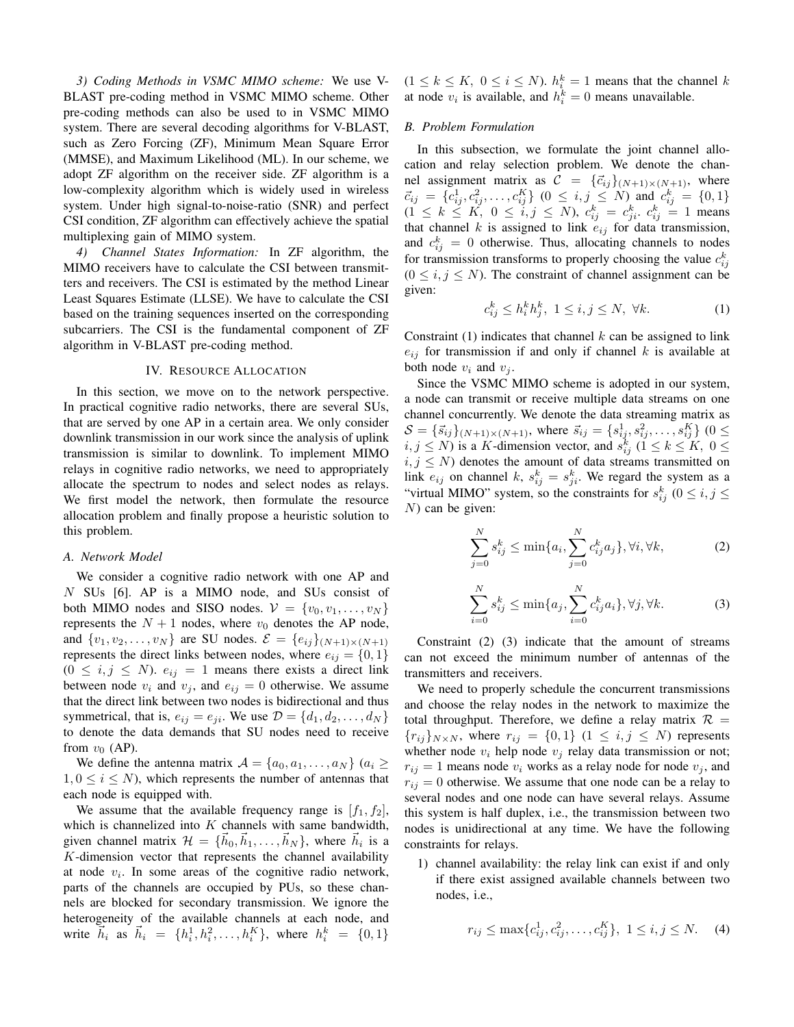*3) Coding Methods in VSMC MIMO scheme:* We use V-BLAST pre-coding method in VSMC MIMO scheme. Other pre-coding methods can also be used to in VSMC MIMO system. There are several decoding algorithms for V-BLAST, such as Zero Forcing (ZF), Minimum Mean Square Error (MMSE), and Maximum Likelihood (ML). In our scheme, we adopt ZF algorithm on the receiver side. ZF algorithm is a low-complexity algorithm which is widely used in wireless system. Under high signal-to-noise-ratio (SNR) and perfect CSI condition, ZF algorithm can effectively achieve the spatial multiplexing gain of MIMO system.

*4) Channel States Information:* In ZF algorithm, the MIMO receivers have to calculate the CSI between transmitters and receivers. The CSI is estimated by the method Linear Least Squares Estimate (LLSE). We have to calculate the CSI based on the training sequences inserted on the corresponding subcarriers. The CSI is the fundamental component of ZF algorithm in V-BLAST pre-coding method.

#### IV. RESOURCE ALLOCATION

In this section, we move on to the network perspective. In practical cognitive radio networks, there are several SUs, that are served by one AP in a certain area. We only consider downlink transmission in our work since the analysis of uplink transmission is similar to downlink. To implement MIMO relays in cognitive radio networks, we need to appropriately allocate the spectrum to nodes and select nodes as relays. We first model the network, then formulate the resource allocation problem and finally propose a heuristic solution to this problem.

#### *A. Network Model*

We consider a cognitive radio network with one AP and *N* SUs [6]. AP is a MIMO node, and SUs consist of both MIMO nodes and SISO nodes.  $V = \{v_0, v_1, \ldots, v_N\}$ represents the  $N + 1$  nodes, where  $v_0$  denotes the AP node, and  $\{v_1, v_2, \ldots, v_N\}$  are SU nodes.  $\mathcal{E} = \{e_{ij}\}_{(N+1)\times(N+1)}$ represents the direct links between nodes, where  $e_{ij} = \{0, 1\}$  $(0 \le i, j \le N)$ .  $e_{ij} = 1$  means there exists a direct link between node  $v_i$  and  $v_j$ , and  $e_{ij} = 0$  otherwise. We assume that the direct link between two nodes is bidirectional and thus symmetrical, that is,  $e_{ij} = e_{ji}$ . We use  $\mathcal{D} = \{d_1, d_2, \dots, d_N\}$ to denote the data demands that SU nodes need to receive from  $v_0$  (AP).

We define the antenna matrix  $A = \{a_0, a_1, \ldots, a_N\}$  ( $a_i \geq$  $1, 0 \leq i \leq N$ ), which represents the number of antennas that each node is equipped with.

We assume that the available frequency range is  $[f_1, f_2]$ , which is channelized into *K* channels with same bandwidth, given channel matrix  $\mathcal{H} = {\{\vec{h}_0, \vec{h}_1, \dots, \vec{h}_N\}}$ , where  $\vec{h}_i$  is a *K*-dimension vector that represents the channel availability at node  $v_i$ . In some areas of the cognitive radio network, parts of the channels are occupied by PUs, so these channels are blocked for secondary transmission. We ignore the heterogeneity of the available channels at each node, and write  $\vec{h}_i$  as  $\vec{h}_i = \{h_i^1, h_i^2, \dots, h_i^K\}$ , where  $h_i^k = \{0, 1\}$   $(1 \leq k \leq K, 0 \leq i \leq N)$ .  $h_i^k = 1$  means that the channel *k* at node  $v_i$  is available, and  $h_i^k = 0$  means unavailable.

#### *B. Problem Formulation*

In this subsection, we formulate the joint channel allocation and relay selection problem. We denote the channel assignment matrix as  $C = {\{\vec{c}_{ij}\}_{(N+1)\times(N+1)}},$  where  $\vec{c}_{ij} = \{c_{ij}^1, c_{ij}^2, \ldots, c_{ij}^K\}$  ( $0 \le i, j \le N$ ) and  $c_{ij}^k = \{0, 1\}$  $(1 \leq k \leq K, 0 \leq i, j \leq N)$ ,  $c_{ij}^k = c_{ji}^k$ ,  $c_{ij}^k = 1$  means that channel  $k$  is assigned to link  $e_{ij}$  for data transmission, and  $c_{ij}^k = 0$  otherwise. Thus, allocating channels to nodes for transmission transforms to properly choosing the value  $c_{ij}^k$  $(0 \le i, j \le N)$ . The constraint of channel assignment can be given:

$$
c_{ij}^k \le h_i^k h_j^k, \ 1 \le i, j \le N, \ \forall k. \tag{1}
$$

Constraint (1) indicates that channel *k* can be assigned to link  $e_{ij}$  for transmission if and only if channel *k* is available at both node  $v_i$  and  $v_j$ .

Since the VSMC MIMO scheme is adopted in our system, a node can transmit or receive multiple data streams on one channel concurrently. We denote the data streaming matrix as  $S = \{\vec{s}_{ij}\}_{(N+1)\times(N+1)}$ , where  $\vec{s}_{ij} = \{s_{ij}^1, s_{ij}^2, \dots, s_{ij}^K\}$  (0  $\leq$  $i, j \leq N$ ) is a *K*-dimension vector, and  $s_{ij}^k$  ( $1 \leq k \leq K$ ,  $0 \leq$  $i, j \leq N$ ) denotes the amount of data streams transmitted on link  $e_{ij}$  on channel k,  $s_{ij}^k = s_{ji}^k$ . We regard the system as a "virtual MIMO" system, so the constraints for  $s_{ij}^k$  ( $0 \le i, j \le j$ *N*) can be given:

$$
\sum_{j=0}^{N} s_{ij}^k \le \min\{a_i, \sum_{j=0}^{N} c_{ij}^k a_j\}, \forall i, \forall k,
$$
\n(2)

$$
\sum_{i=0}^{N} s_{ij}^k \le \min\{a_j, \sum_{i=0}^{N} c_{ij}^k a_i\}, \forall j, \forall k.
$$
 (3)

Constraint (2) (3) indicate that the amount of streams can not exceed the minimum number of antennas of the transmitters and receivers.

We need to properly schedule the concurrent transmissions and choose the relay nodes in the network to maximize the total throughput. Therefore, we define a relay matrix  $\mathcal{R} =$  ${r_{ij}}_{N \times N}$ , where  $r_{ij} = {0,1}$  (1  $\leq i, j \leq N$ ) represents whether node  $v_i$  help node  $v_j$  relay data transmission or not;  $r_{ij} = 1$  means node  $v_i$  works as a relay node for node  $v_j$ , and  $r_{ij} = 0$  otherwise. We assume that one node can be a relay to several nodes and one node can have several relays. Assume this system is half duplex, i.e., the transmission between two nodes is unidirectional at any time. We have the following constraints for relays.

1) channel availability: the relay link can exist if and only if there exist assigned available channels between two nodes, i.e.,

$$
r_{ij} \le \max\{c_{ij}^1, c_{ij}^2, \dots, c_{ij}^K\}, \ 1 \le i, j \le N. \tag{4}
$$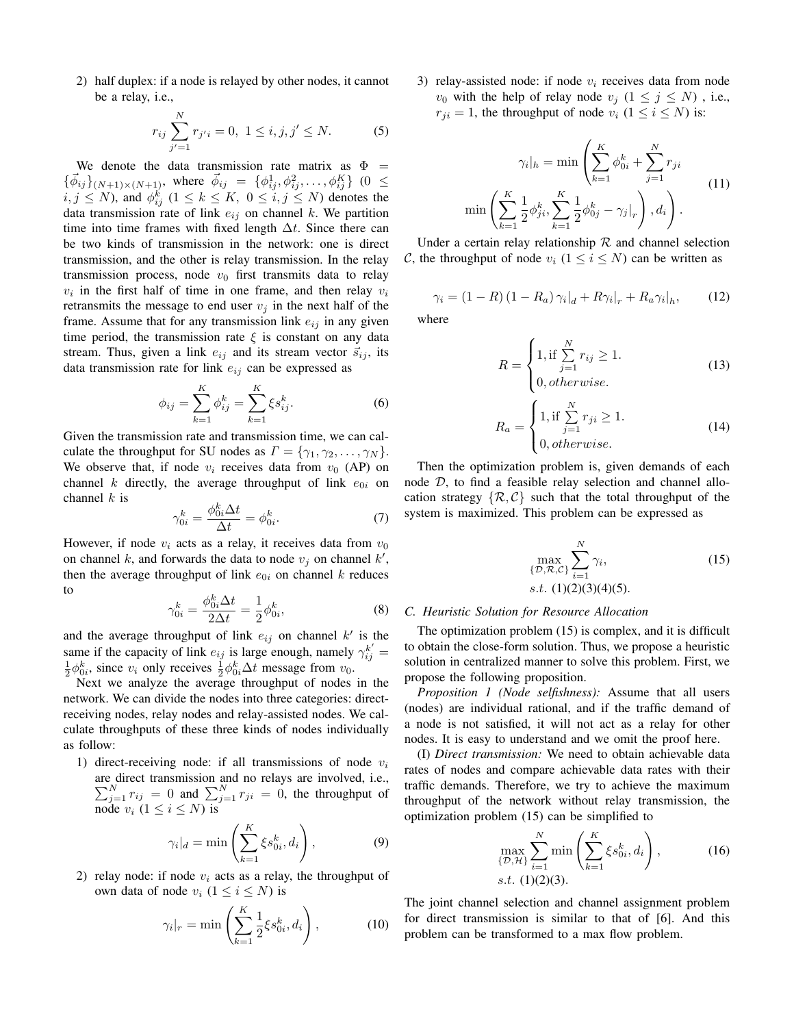2) half duplex: if a node is relayed by other nodes, it cannot be a relay, i.e.,

$$
r_{ij} \sum_{j'=1}^{N} r_{j'i} = 0, \ 1 \le i, j, j' \le N. \tag{5}
$$

We denote the data transmission rate matrix as  $\Phi =$  $\{\vec{\phi}_{ij}\}_{(N+1)\times(N+1)}$ , where  $\vec{\phi}_{ij} = \{\phi_{ij}^1, \phi_{ij}^2, \dots, \phi_{ij}^K\}$  (0  $\leq$  $i, j \leq N$ ), and  $\phi_{ij}^k$  ( $1 \leq k \leq K$ ,  $0 \leq i, j \leq N$ ) denotes the data transmission rate of link  $e_{ij}$  on channel  $k$ . We partition time into time frames with fixed length ∆*t*. Since there can be two kinds of transmission in the network: one is direct transmission, and the other is relay transmission. In the relay transmission process, node  $v_0$  first transmits data to relay  $v_i$  in the first half of time in one frame, and then relay  $v_i$ retransmits the message to end user  $v_j$  in the next half of the frame. Assume that for any transmission link  $e_{ij}$  in any given time period, the transmission rate  $\xi$  is constant on any data stream. Thus, given a link  $e_{ij}$  and its stream vector  $\vec{s}_{ij}$ , its data transmission rate for link *eij* can be expressed as

$$
\phi_{ij} = \sum_{k=1}^{K} \phi_{ij}^k = \sum_{k=1}^{K} \xi s_{ij}^k.
$$
 (6)

Given the transmission rate and transmission time, we can calculate the throughput for SU nodes as  $\Gamma = {\gamma_1, \gamma_2, \ldots, \gamma_N}$ . We observe that, if node  $v_i$  receives data from  $v_0$  (AP) on channel *k* directly, the average throughput of link  $e_{0i}$  on channel *k* is

$$
\gamma_{0i}^k = \frac{\phi_{0i}^k \Delta t}{\Delta t} = \phi_{0i}^k.
$$
\n(7)

However, if node  $v_i$  acts as a relay, it receives data from  $v_0$ on channel *k*, and forwards the data to node  $v_j$  on channel  $k'$ , then the average throughput of link  $e_{0i}$  on channel  $k$  reduces to

$$
\gamma_{0i}^k = \frac{\phi_{0i}^k \Delta t}{2\Delta t} = \frac{1}{2} \phi_{0i}^k,\tag{8}
$$

and the average throughput of link  $e_{ij}$  on channel  $k'$  is the same if the capacity of link  $e_{ij}$  is large enough, namely  $\gamma_{ij}^{k'} =$  $\frac{1}{2}\phi_{0i}^k$ , since  $v_i$  only receives  $\frac{1}{2}\phi_{0i}^k \Delta t$  message from  $v_0$ .

Next we analyze the average throughput of nodes in the network. We can divide the nodes into three categories: directreceiving nodes, relay nodes and relay-assisted nodes. We calculate throughputs of these three kinds of nodes individually as follow:

1) direct-receiving node: if all transmissions of node *v<sup>i</sup>* are direct transmission and no relays are involved, i.e.,  $\sum_{j=1}^{N} r_{ij} = 0$  and  $\sum_{j=1}^{N} r_{ji} = 0$ , the throughput of node  $v_i$  ( $1 \le i \le N$ ) is

$$
\gamma_i|_d = \min\left(\sum_{k=1}^K \xi s_{0i}^k, d_i\right),\tag{9}
$$

2) relay node: if node  $v_i$  acts as a relay, the throughput of own data of node  $v_i$  ( $1 \le i \le N$ ) is

$$
\gamma_i|_{r} = \min\left(\sum_{k=1}^{K} \frac{1}{2} \xi s_{0i}^k, d_i\right),\tag{10}
$$

3) relay-assisted node: if node *v<sup>i</sup>* receives data from node *v*<sup>0</sup> with the help of relay node  $v_j$  ( $1 \le j \le N$ ), i.e.,  $r_{ji} = 1$ , the throughput of node  $v_i$  ( $1 \le i \le N$ ) is:

$$
\gamma_i|_h = \min\left(\sum_{k=1}^K \phi_{0i}^k + \sum_{j=1}^N r_{ji}\right)
$$

$$
\min\left(\sum_{k=1}^K \frac{1}{2} \phi_{ji}^k, \sum_{k=1}^K \frac{1}{2} \phi_{0j}^k - \gamma_j|_r\right), d_i\right).
$$
(11)

Under a certain relay relationship *R* and channel selection *C*, the throughput of node  $v_i$  ( $1 \le i \le N$ ) can be written as

$$
\gamma_i = (1 - R)(1 - R_a)\gamma_i|_d + R\gamma_i|_r + R_a\gamma_i|_h,\qquad(12)
$$

where

$$
R = \begin{cases} 1, & \text{if } \sum_{j=1}^{N} r_{ij} \ge 1. \\ 0, & \text{otherwise.} \end{cases}
$$
 (13)

$$
R_a = \begin{cases} 1, & \text{if } \sum_{j=1}^{N} r_{ji} \ge 1. \\ 0, & \text{otherwise.} \end{cases}
$$
 (14)

Then the optimization problem is, given demands of each node *D*, to find a feasible relay selection and channel allocation strategy  $\{R, C\}$  such that the total throughput of the system is maximized. This problem can be expressed as

$$
\max_{\{D,R,C\}} \sum_{i=1}^{N} \gamma_i,
$$
\n
$$
s.t. (1)(2)(3)(4)(5).
$$
\n(15)

#### *C. Heuristic Solution for Resource Allocation*

The optimization problem (15) is complex, and it is difficult to obtain the close-form solution. Thus, we propose a heuristic solution in centralized manner to solve this problem. First, we propose the following proposition.

*Proposition 1 (Node selfishness):* Assume that all users (nodes) are individual rational, and if the traffic demand of a node is not satisfied, it will not act as a relay for other nodes. It is easy to understand and we omit the proof here.

(I) *Direct transmission:* We need to obtain achievable data rates of nodes and compare achievable data rates with their traffic demands. Therefore, we try to achieve the maximum throughput of the network without relay transmission, the optimization problem (15) can be simplified to

$$
\max_{\{\mathcal{D},\mathcal{H}\}} \sum_{i=1}^{N} \min \left( \sum_{k=1}^{K} \xi s_{0i}^{k}, d_{i} \right),
$$
\n(16)  
\n*s.t.* (1)(2)(3).

The joint channel selection and channel assignment problem for direct transmission is similar to that of [6]. And this problem can be transformed to a max flow problem.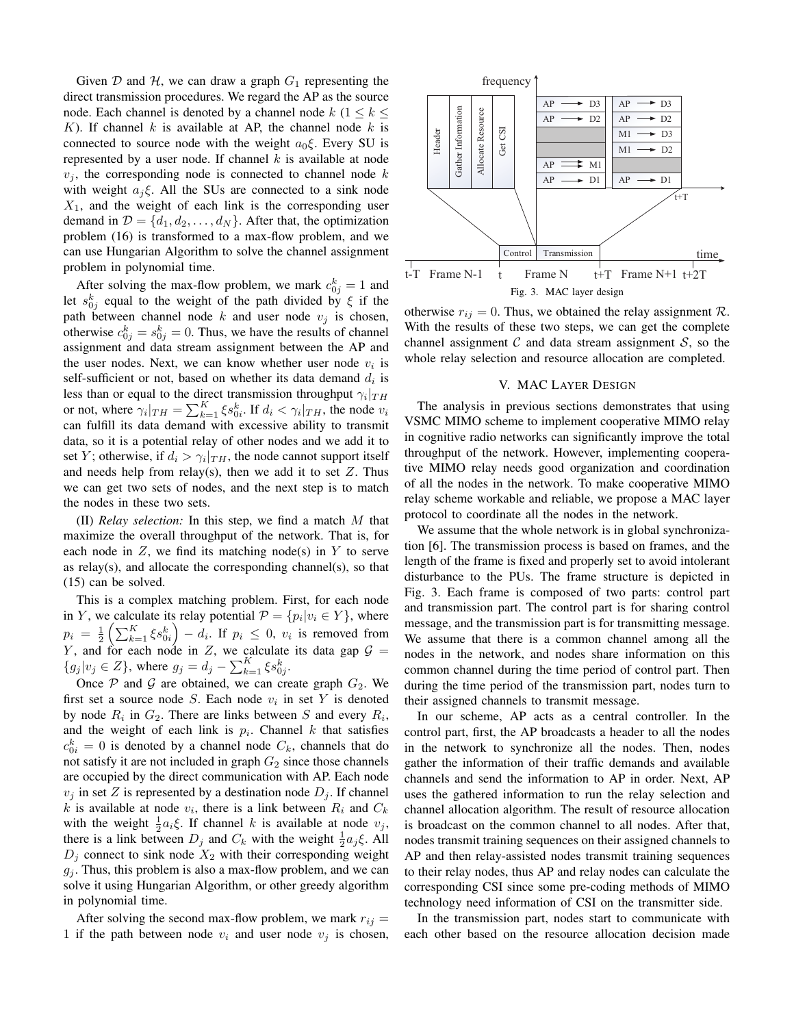Given  $D$  and  $H$ , we can draw a graph  $G_1$  representing the direct transmission procedures. We regard the AP as the source node. Each channel is denoted by a channel node  $k$  ( $1 \leq k \leq$ *K*). If channel *k* is available at AP, the channel node *k* is connected to source node with the weight *a*0*ξ*. Every SU is represented by a user node. If channel *k* is available at node  $v_j$ , the corresponding node is connected to channel node  $k$ with weight  $a_j \xi$ . All the SUs are connected to a sink node *X*1, and the weight of each link is the corresponding user demand in  $\mathcal{D} = \{d_1, d_2, \dots, d_N\}$ . After that, the optimization problem (16) is transformed to a max-flow problem, and we can use Hungarian Algorithm to solve the channel assignment problem in polynomial time.

After solving the max-flow problem, we mark  $c_{0j}^k = 1$  and let  $s_{0j}^k$  equal to the weight of the path divided by  $\xi$  if the path between channel node  $k$  and user node  $v_j$  is chosen, otherwise  $c_{0j}^k = s_{0j}^k = 0$ . Thus, we have the results of channel assignment and data stream assignment between the AP and the user nodes. Next, we can know whether user node  $v_i$  is self-sufficient or not, based on whether its data demand *d<sup>i</sup>* is less than or equal to the direct transmission throughput  $\gamma_i|_{TH}$ or not, where  $\gamma_i|_{TH} = \sum_{k=1}^K \xi s_{0i}^k$ . If  $d_i < \gamma_i|_{TH}$ , the node  $v_i$ can fulfill its data demand with excessive ability to transmit data, so it is a potential relay of other nodes and we add it to set *Y*; otherwise, if  $d_i > \gamma_i|_{TH}$ , the node cannot support itself and needs help from relay(s), then we add it to set *Z*. Thus we can get two sets of nodes, and the next step is to match the nodes in these two sets.

(II) *Relay selection:* In this step, we find a match *M* that maximize the overall throughput of the network. That is, for each node in  $Z$ , we find its matching node(s) in  $Y$  to serve as relay(s), and allocate the corresponding channel(s), so that (15) can be solved.

This is a complex matching problem. First, for each node in *Y*, we calculate its relay potential  $P = \{p_i | v_i \in Y\}$ , where  $p_i = \frac{1}{2} \left( \sum_{k=1}^K \xi s_{0i}^k \right) - d_i$ . If  $p_i \leq 0$ ,  $v_i$  is removed from *Y*, and for each node in *Z*, we calculate its data gap  $G =$  ${g_j | v_j \in Z}$ , where  $g_j = d_j - \sum_{k=1}^K \xi s_{0j}^k$ .

Once  $P$  and  $G$  are obtained, we can create graph  $G_2$ . We first set a source node *S*. Each node  $v_i$  in set *Y* is denoted by node  $R_i$  in  $G_2$ . There are links between  $S$  and every  $R_i$ , and the weight of each link is  $p_i$ . Channel  $k$  that satisfies  $c_{0i}^k = 0$  is denoted by a channel node  $C_k$ , channels that do not satisfy it are not included in graph  $G_2$  since those channels are occupied by the direct communication with AP. Each node  $v_j$  in set *Z* is represented by a destination node  $D_j$ . If channel  $k$  is available at node  $v_i$ , there is a link between  $R_i$  and  $C_k$ with the weight  $\frac{1}{2}a_i\xi$ . If channel *k* is available at node  $v_j$ , there is a link between  $D_j$  and  $C_k$  with the weight  $\frac{1}{2}a_j \xi$ . All  $D_j$  connect to sink node  $X_2$  with their corresponding weight  $g_j$ . Thus, this problem is also a max-flow problem, and we can solve it using Hungarian Algorithm, or other greedy algorithm in polynomial time.

After solving the second max-flow problem, we mark  $r_{ij}$  = 1 if the path between node  $v_i$  and user node  $v_j$  is chosen,



otherwise  $r_{ij} = 0$ . Thus, we obtained the relay assignment  $\mathcal{R}$ . With the results of these two steps, we can get the complete channel assignment *C* and data stream assignment *S*, so the whole relay selection and resource allocation are completed.

#### V. MAC LAYER DESIGN

The analysis in previous sections demonstrates that using VSMC MIMO scheme to implement cooperative MIMO relay in cognitive radio networks can significantly improve the total throughput of the network. However, implementing cooperative MIMO relay needs good organization and coordination of all the nodes in the network. To make cooperative MIMO relay scheme workable and reliable, we propose a MAC layer protocol to coordinate all the nodes in the network.

We assume that the whole network is in global synchronization [6]. The transmission process is based on frames, and the length of the frame is fixed and properly set to avoid intolerant disturbance to the PUs. The frame structure is depicted in Fig. 3. Each frame is composed of two parts: control part and transmission part. The control part is for sharing control message, and the transmission part is for transmitting message. We assume that there is a common channel among all the nodes in the network, and nodes share information on this common channel during the time period of control part. Then during the time period of the transmission part, nodes turn to their assigned channels to transmit message.

In our scheme, AP acts as a central controller. In the control part, first, the AP broadcasts a header to all the nodes in the network to synchronize all the nodes. Then, nodes gather the information of their traffic demands and available channels and send the information to AP in order. Next, AP uses the gathered information to run the relay selection and channel allocation algorithm. The result of resource allocation is broadcast on the common channel to all nodes. After that, nodes transmit training sequences on their assigned channels to AP and then relay-assisted nodes transmit training sequences to their relay nodes, thus AP and relay nodes can calculate the corresponding CSI since some pre-coding methods of MIMO technology need information of CSI on the transmitter side.

In the transmission part, nodes start to communicate with each other based on the resource allocation decision made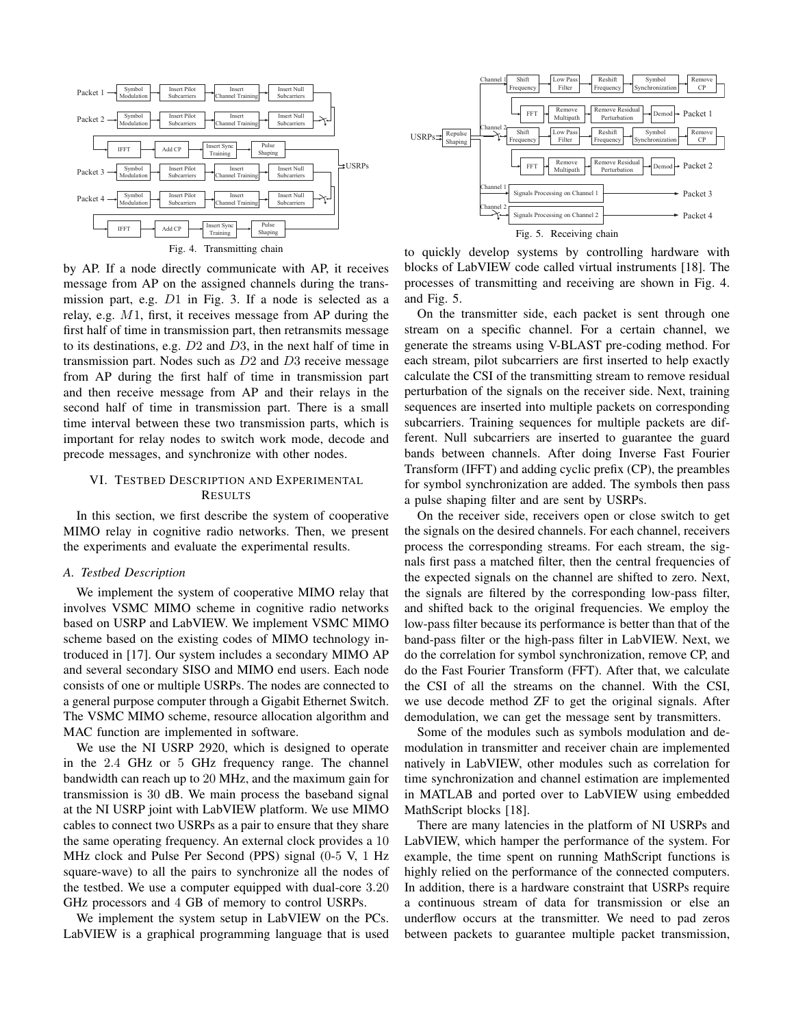

by AP. If a node directly communicate with AP, it receives message from AP on the assigned channels during the transmission part, e.g. *D*1 in Fig. 3. If a node is selected as a relay, e.g. *M*1, first, it receives message from AP during the first half of time in transmission part, then retransmits message to its destinations, e.g. *D*2 and *D*3, in the next half of time in transmission part. Nodes such as *D*2 and *D*3 receive message from AP during the first half of time in transmission part and then receive message from AP and their relays in the second half of time in transmission part. There is a small time interval between these two transmission parts, which is important for relay nodes to switch work mode, decode and precode messages, and synchronize with other nodes.

# VI. TESTBED DESCRIPTION AND EXPERIMENTAL RESULTS

In this section, we first describe the system of cooperative MIMO relay in cognitive radio networks. Then, we present the experiments and evaluate the experimental results.

#### *A. Testbed Description*

We implement the system of cooperative MIMO relay that involves VSMC MIMO scheme in cognitive radio networks based on USRP and LabVIEW. We implement VSMC MIMO scheme based on the existing codes of MIMO technology introduced in [17]. Our system includes a secondary MIMO AP and several secondary SISO and MIMO end users. Each node consists of one or multiple USRPs. The nodes are connected to a general purpose computer through a Gigabit Ethernet Switch. The VSMC MIMO scheme, resource allocation algorithm and MAC function are implemented in software.

We use the NI USRP 2920, which is designed to operate in the 2*.*4 GHz or 5 GHz frequency range. The channel bandwidth can reach up to 20 MHz, and the maximum gain for transmission is 30 dB. We main process the baseband signal at the NI USRP joint with LabVIEW platform. We use MIMO cables to connect two USRPs as a pair to ensure that they share the same operating frequency. An external clock provides a 10 MHz clock and Pulse Per Second (PPS) signal (0-5 V, 1 Hz square-wave) to all the pairs to synchronize all the nodes of the testbed. We use a computer equipped with dual-core 3*.*20 GHz processors and 4 GB of memory to control USRPs.

We implement the system setup in LabVIEW on the PCs. LabVIEW is a graphical programming language that is used



to quickly develop systems by controlling hardware with blocks of LabVIEW code called virtual instruments [18]. The processes of transmitting and receiving are shown in Fig. 4. and Fig. 5.

On the transmitter side, each packet is sent through one stream on a specific channel. For a certain channel, we generate the streams using V-BLAST pre-coding method. For each stream, pilot subcarriers are first inserted to help exactly calculate the CSI of the transmitting stream to remove residual perturbation of the signals on the receiver side. Next, training sequences are inserted into multiple packets on corresponding subcarriers. Training sequences for multiple packets are different. Null subcarriers are inserted to guarantee the guard bands between channels. After doing Inverse Fast Fourier Transform (IFFT) and adding cyclic prefix (CP), the preambles for symbol synchronization are added. The symbols then pass a pulse shaping filter and are sent by USRPs.

On the receiver side, receivers open or close switch to get the signals on the desired channels. For each channel, receivers process the corresponding streams. For each stream, the signals first pass a matched filter, then the central frequencies of the expected signals on the channel are shifted to zero. Next, the signals are filtered by the corresponding low-pass filter, and shifted back to the original frequencies. We employ the low-pass filter because its performance is better than that of the band-pass filter or the high-pass filter in LabVIEW. Next, we do the correlation for symbol synchronization, remove CP, and do the Fast Fourier Transform (FFT). After that, we calculate the CSI of all the streams on the channel. With the CSI, we use decode method ZF to get the original signals. After demodulation, we can get the message sent by transmitters.

Some of the modules such as symbols modulation and demodulation in transmitter and receiver chain are implemented natively in LabVIEW, other modules such as correlation for time synchronization and channel estimation are implemented in MATLAB and ported over to LabVIEW using embedded MathScript blocks [18].

There are many latencies in the platform of NI USRPs and LabVIEW, which hamper the performance of the system. For example, the time spent on running MathScript functions is highly relied on the performance of the connected computers. In addition, there is a hardware constraint that USRPs require a continuous stream of data for transmission or else an underflow occurs at the transmitter. We need to pad zeros between packets to guarantee multiple packet transmission,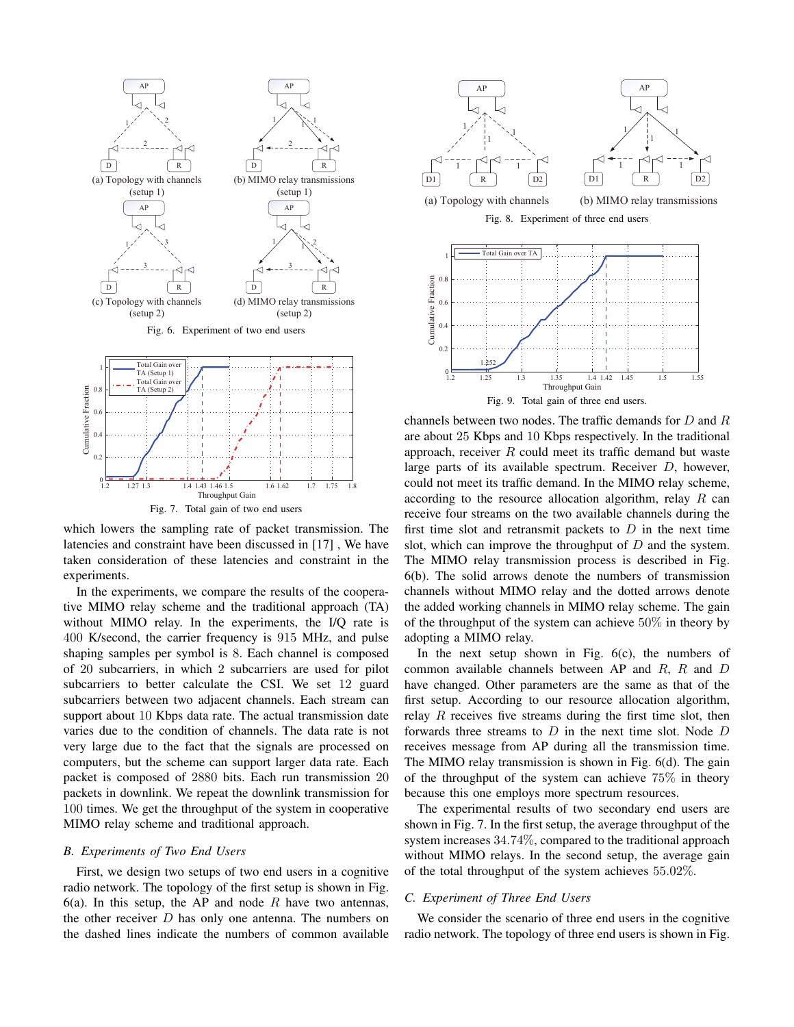

which lowers the sampling rate of packet transmission. The latencies and constraint have been discussed in [17] , We have taken consideration of these latencies and constraint in the experiments.

In the experiments, we compare the results of the cooperative MIMO relay scheme and the traditional approach (TA) without MIMO relay. In the experiments, the I/Q rate is 400 K/second, the carrier frequency is 915 MHz, and pulse shaping samples per symbol is 8. Each channel is composed of 20 subcarriers, in which 2 subcarriers are used for pilot subcarriers to better calculate the CSI. We set 12 guard subcarriers between two adjacent channels. Each stream can support about 10 Kbps data rate. The actual transmission date varies due to the condition of channels. The data rate is not very large due to the fact that the signals are processed on computers, but the scheme can support larger data rate. Each packet is composed of 2880 bits. Each run transmission 20 packets in downlink. We repeat the downlink transmission for 100 times. We get the throughput of the system in cooperative MIMO relay scheme and traditional approach.

#### *B. Experiments of Two End Users*

First, we design two setups of two end users in a cognitive radio network. The topology of the first setup is shown in Fig. 6(a). In this setup, the AP and node *R* have two antennas, the other receiver *D* has only one antenna. The numbers on the dashed lines indicate the numbers of common available



channels between two nodes. The traffic demands for *D* and *R* are about 25 Kbps and 10 Kbps respectively. In the traditional approach, receiver *R* could meet its traffic demand but waste large parts of its available spectrum. Receiver *D*, however, could not meet its traffic demand. In the MIMO relay scheme, according to the resource allocation algorithm, relay *R* can receive four streams on the two available channels during the first time slot and retransmit packets to *D* in the next time slot, which can improve the throughput of *D* and the system. The MIMO relay transmission process is described in Fig. 6(b). The solid arrows denote the numbers of transmission channels without MIMO relay and the dotted arrows denote the added working channels in MIMO relay scheme. The gain of the throughput of the system can achieve 50% in theory by adopting a MIMO relay.

In the next setup shown in Fig.  $6(c)$ , the numbers of common available channels between AP and *R*, *R* and *D* have changed. Other parameters are the same as that of the first setup. According to our resource allocation algorithm, relay *R* receives five streams during the first time slot, then forwards three streams to *D* in the next time slot. Node *D* receives message from AP during all the transmission time. The MIMO relay transmission is shown in Fig. 6(d). The gain of the throughput of the system can achieve 75% in theory because this one employs more spectrum resources.

The experimental results of two secondary end users are shown in Fig. 7. In the first setup, the average throughput of the system increases 34*.*74%, compared to the traditional approach without MIMO relays. In the second setup, the average gain of the total throughput of the system achieves 55*.*02%.

## *C. Experiment of Three End Users*

We consider the scenario of three end users in the cognitive radio network. The topology of three end users is shown in Fig.